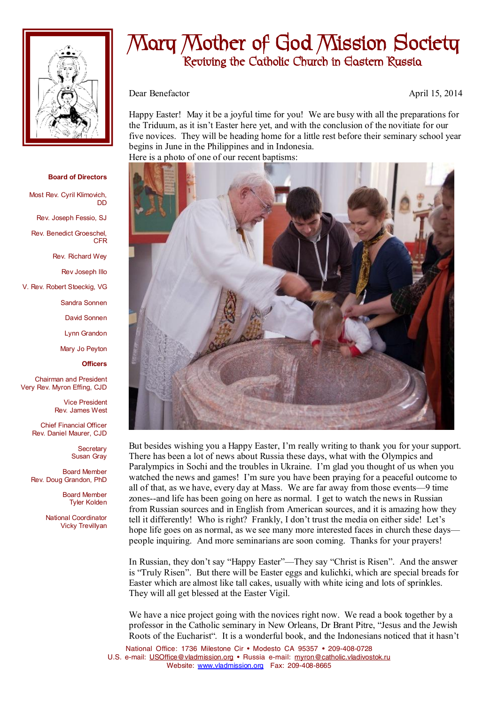

## **Mary Mother of God Mission Society Reviving the Catholic Church in Eastern Russia**

Dear Benefactor April 15, 2014

Happy Easter! May it be a joyful time for you! We are busy with all the preparations for the Triduum, as it isn't Easter here yet, and with the conclusion of the novitiate for our five novices. They will be heading home for a little rest before their seminary school year begins in June in the Philippines and in Indonesia. Here is a photo of one of our recent baptisms:



But besides wishing you a Happy Easter, I'm really writing to thank you for your support. There has been a lot of news about Russia these days, what with the Olympics and Paralympics in Sochi and the troubles in Ukraine. I'm glad you thought of us when you watched the news and games! I'm sure you have been praying for a peaceful outcome to all of that, as we have, every day at Mass. We are far away from those events—9 time zones--and life has been going on here as normal. I get to watch the news in Russian from Russian sources and in English from American sources, and it is amazing how they tell it differently! Who is right? Frankly, I don't trust the media on either side! Let's hope life goes on as normal, as we see many more interested faces in church these days people inquiring. And more seminarians are soon coming. Thanks for your prayers!

In Russian, they don't say "Happy Easter"—They say "Christ is Risen". And the answer is "Truly Risen". But there will be Easter eggs and kulichki, which are special breads for Easter which are almost like tall cakes, usually with white icing and lots of sprinkles. They will all get blessed at the Easter Vigil.

We have a nice project going with the novices right now. We read a book together by a professor in the Catholic seminary in New Orleans, Dr Brant Pitre, "Jesus and the Jewish Roots of the Eucharist". It is a wonderful book, and the Indonesians noticed that it hasn't

National Office: 1736 Milestone Cir • Modesto CA 95357 • 209-408-0728 U.S. e-mail: [USOffice@vladmission.org](mailto:USOffice@vladmission.org) • Russia e-mail: [myron@catholic.vladivostok.ru](mailto:myron@catholic.vladivostok.ru) Website: [www.vladmission.org](http://www.vladmission.org) Fax: 209-408-8665

## **Board of Directors**

Most Rev. Cyril Klimovich, DD

Rev. Joseph Fessio, SJ

Rev. Benedict Groeschel, CFR

Rev. Richard Wey

Rev Joseph Illo

V. Rev. Robert Stoeckig, VG

Sandra Sonnen

David Sonnen

Lynn Grandon

Mary Jo Peyton

**Officers**

Chairman and President Very Rev. Myron Effing, CJD

> Vice President Rev. James West

Chief Financial Officer Rev. Daniel Maurer, CJD

> **Secretary** Susan Gray

Board Member Rev. Doug Grandon, PhD

> Board Member Tyler Kolden

National Coordinator Vicky Trevillyan